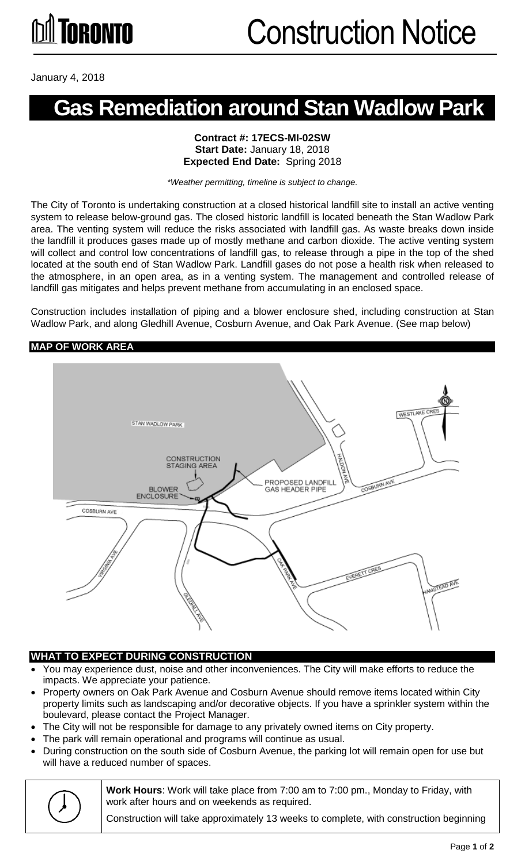January 4, 2018

### **Gas Remediation around Stan Wadlow Park**

#### **Contract #: 17ECS-MI-02SW Start Date:** January 18, 2018 **Expected End Date:** Spring 2018

*\*Weather permitting, timeline is subject to change.*

The City of Toronto is undertaking construction at a closed historical landfill site to install an active venting system to release below-ground gas. The closed historic landfill is located beneath the Stan Wadlow Park area. The venting system will reduce the risks associated with landfill gas. As waste breaks down inside the landfill it produces gases made up of mostly methane and carbon dioxide. The active venting system will collect and control low concentrations of landfill gas, to release through a pipe in the top of the shed located at the south end of Stan Wadlow Park. Landfill gases do not pose a health risk when released to the atmosphere, in an open area, as in a venting system. The management and controlled release of landfill gas mitigates and helps prevent methane from accumulating in an enclosed space.

Construction includes installation of piping and a blower enclosure shed, including construction at Stan Wadlow Park, and along Gledhill Avenue, Cosburn Avenue, and Oak Park Avenue. (See map below)

#### **MAP OF WORK AREA**



#### **WHAT TO EXPECT DURING CONSTRUCTION**

- You may experience dust, noise and other inconveniences. The City will make efforts to reduce the impacts. We appreciate your patience.
- Property owners on Oak Park Avenue and Cosburn Avenue should remove items located within City property limits such as landscaping and/or decorative objects. If you have a sprinkler system within the boulevard, please contact the Project Manager.
- The City will not be responsible for damage to any privately owned items on City property.
- The park will remain operational and programs will continue as usual.
- During construction on the south side of Cosburn Avenue, the parking lot will remain open for use but will have a reduced number of spaces.



**Work Hours**: Work will take place from 7:00 am to 7:00 pm., Monday to Friday, with work after hours and on weekends as required.

Construction will take approximately 13 weeks to complete, with construction beginning